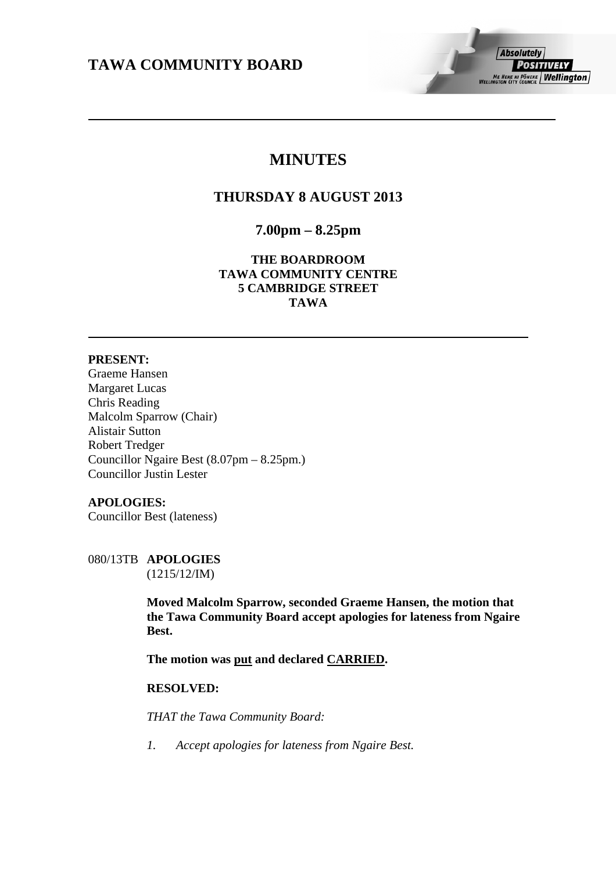# **MINUTES**

# **THURSDAY 8 AUGUST 2013**

## **7.00pm – 8.25pm**

## **THE BOARDROOM TAWA COMMUNITY CENTRE 5 CAMBRIDGE STREET TAWA**

## **PRESENT:**

Graeme Hansen Margaret Lucas Chris Reading Malcolm Sparrow (Chair) Alistair Sutton Robert Tredger Councillor Ngaire Best (8.07pm – 8.25pm.) Councillor Justin Lester

## **APOLOGIES:**

Councillor Best (lateness)

080/13TB **APOLOGIES** (1215/12/IM)

> **Moved Malcolm Sparrow, seconded Graeme Hansen, the motion that the Tawa Community Board accept apologies for lateness from Ngaire Best.**

**The motion was put and declared CARRIED.** 

## **RESOLVED:**

*THAT the Tawa Community Board:* 

*1. Accept apologies for lateness from Ngaire Best.*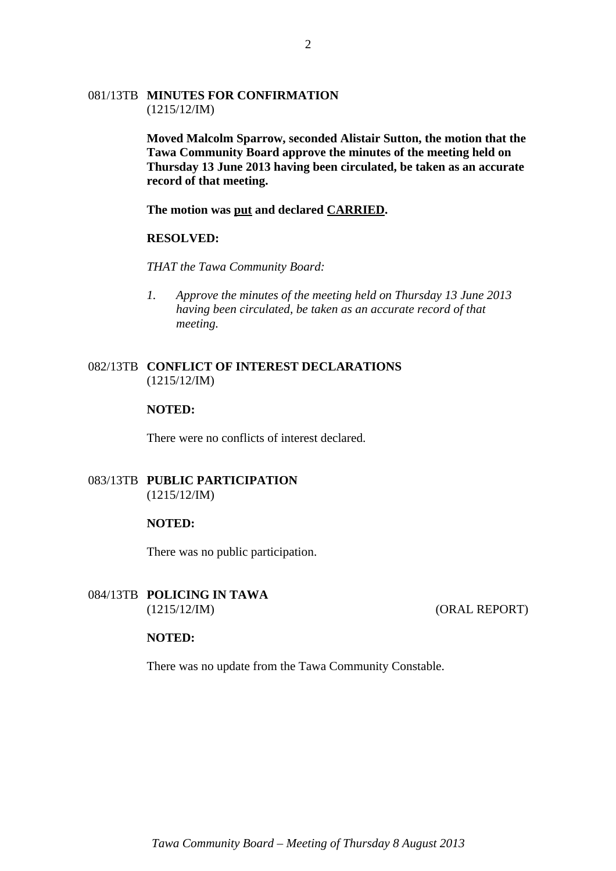### 081/13TB **MINUTES FOR CONFIRMATION** (1215/12/IM)

**Moved Malcolm Sparrow, seconded Alistair Sutton, the motion that the Tawa Community Board approve the minutes of the meeting held on Thursday 13 June 2013 having been circulated, be taken as an accurate record of that meeting.** 

**The motion was put and declared CARRIED.** 

#### **RESOLVED:**

*THAT the Tawa Community Board:* 

*1. Approve the minutes of the meeting held on Thursday 13 June 2013 having been circulated, be taken as an accurate record of that meeting.* 

### 082/13TB **CONFLICT OF INTEREST DECLARATIONS** (1215/12/IM)

#### **NOTED:**

There were no conflicts of interest declared.

### 083/13TB **PUBLIC PARTICIPATION** (1215/12/IM)

#### **NOTED:**

There was no public participation.

## 084/13TB **POLICING IN TAWA** (1215/12/IM) (ORAL REPORT)

#### **NOTED:**

There was no update from the Tawa Community Constable.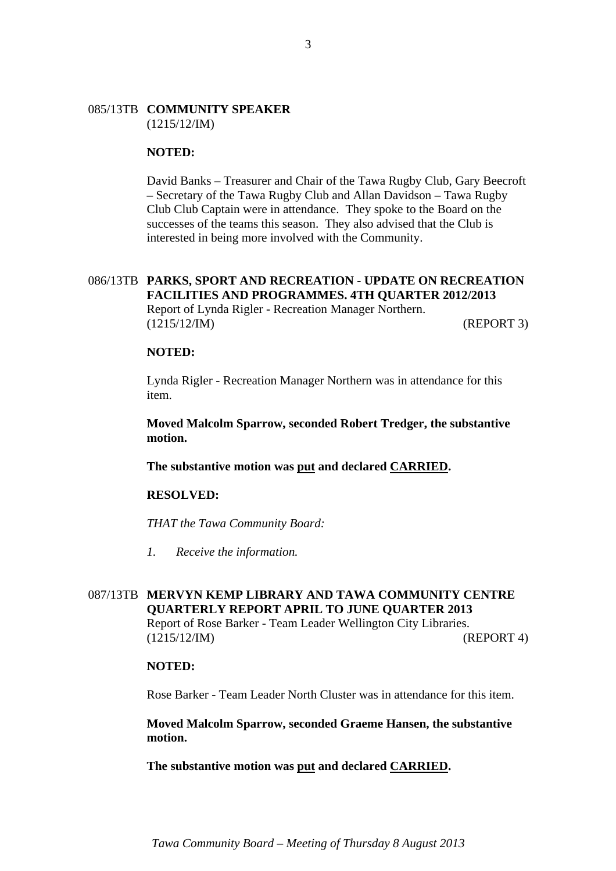#### 085/13TB **COMMUNITY SPEAKER** (1215/12/IM)

#### **NOTED:**

David Banks – Treasurer and Chair of the Tawa Rugby Club, Gary Beecroft – Secretary of the Tawa Rugby Club and Allan Davidson – Tawa Rugby Club Club Captain were in attendance. They spoke to the Board on the successes of the teams this season. They also advised that the Club is interested in being more involved with the Community.

# 086/13TB **PARKS, SPORT AND RECREATION - UPDATE ON RECREATION FACILITIES AND PROGRAMMES. 4TH QUARTER 2012/2013**

Report of Lynda Rigler - Recreation Manager Northern. (1215/12/IM) (REPORT 3)

#### **NOTED:**

Lynda Rigler - Recreation Manager Northern was in attendance for this item.

**Moved Malcolm Sparrow, seconded Robert Tredger, the substantive motion.** 

**The substantive motion was put and declared CARRIED.** 

## **RESOLVED:**

*THAT the Tawa Community Board:* 

*1. Receive the information.* 

## 087/13TB **MERVYN KEMP LIBRARY AND TAWA COMMUNITY CENTRE QUARTERLY REPORT APRIL TO JUNE QUARTER 2013**  Report of Rose Barker - Team Leader Wellington City Libraries. (1215/12/IM) (REPORT 4)

#### **NOTED:**

Rose Barker - Team Leader North Cluster was in attendance for this item.

**Moved Malcolm Sparrow, seconded Graeme Hansen, the substantive motion.** 

**The substantive motion was put and declared CARRIED.**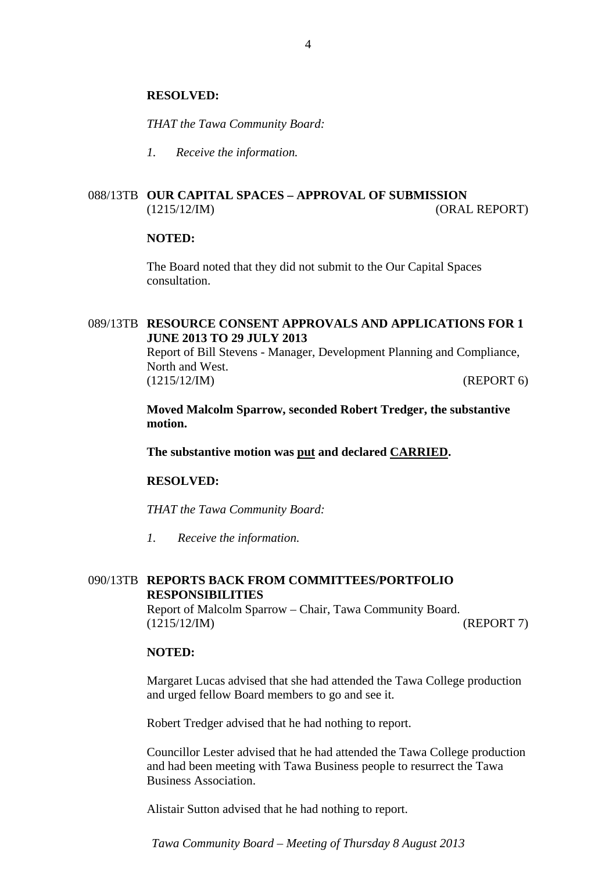#### **RESOLVED:**

*THAT the Tawa Community Board:* 

*1. Receive the information.* 

### 088/13TB **OUR CAPITAL SPACES – APPROVAL OF SUBMISSION**  (1215/12/IM) (ORAL REPORT)

### **NOTED:**

The Board noted that they did not submit to the Our Capital Spaces consultation.

### 089/13TB **RESOURCE CONSENT APPROVALS AND APPLICATIONS FOR 1 JUNE 2013 TO 29 JULY 2013**

Report of Bill Stevens - Manager, Development Planning and Compliance, North and West. (1215/12/IM) (REPORT 6)

**Moved Malcolm Sparrow, seconded Robert Tredger, the substantive motion.** 

**The substantive motion was put and declared CARRIED.** 

### **RESOLVED:**

*THAT the Tawa Community Board:* 

*1. Receive the information.* 

## 090/13TB **REPORTS BACK FROM COMMITTEES/PORTFOLIO RESPONSIBILITIES**

Report of Malcolm Sparrow – Chair, Tawa Community Board. (1215/12/IM) (REPORT 7)

### **NOTED:**

Margaret Lucas advised that she had attended the Tawa College production and urged fellow Board members to go and see it.

Robert Tredger advised that he had nothing to report.

Councillor Lester advised that he had attended the Tawa College production and had been meeting with Tawa Business people to resurrect the Tawa Business Association.

Alistair Sutton advised that he had nothing to report.

*Tawa Community Board – Meeting of Thursday 8 August 2013*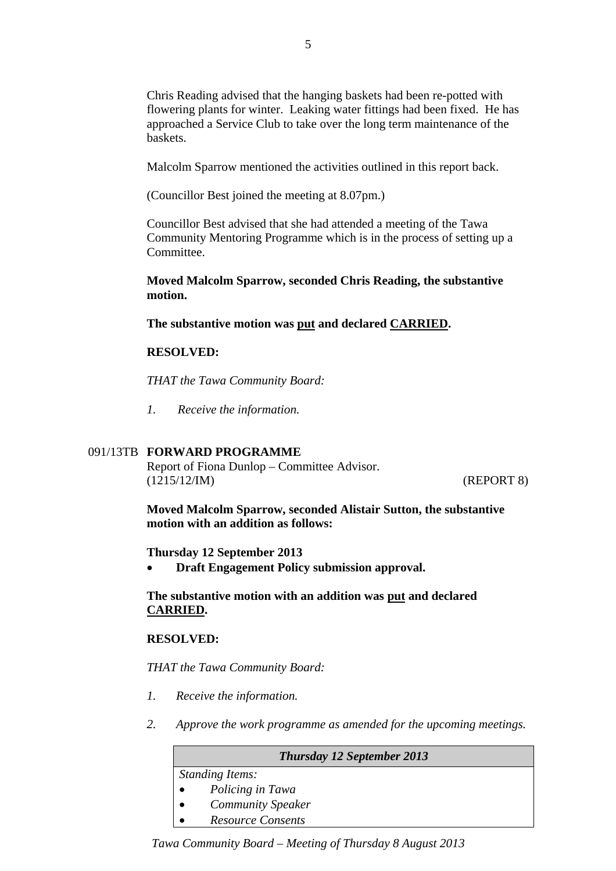Chris Reading advised that the hanging baskets had been re-potted with flowering plants for winter. Leaking water fittings had been fixed. He has approached a Service Club to take over the long term maintenance of the baskets.

Malcolm Sparrow mentioned the activities outlined in this report back.

(Councillor Best joined the meeting at 8.07pm.)

Councillor Best advised that she had attended a meeting of the Tawa Community Mentoring Programme which is in the process of setting up a Committee.

**Moved Malcolm Sparrow, seconded Chris Reading, the substantive motion.** 

**The substantive motion was put and declared CARRIED.** 

## **RESOLVED:**

*THAT the Tawa Community Board:* 

*1. Receive the information.* 

## 091/13TB **FORWARD PROGRAMME**

Report of Fiona Dunlop – Committee Advisor. (1215/12/IM) (REPORT 8)

**Moved Malcolm Sparrow, seconded Alistair Sutton, the substantive motion with an addition as follows:** 

**Thursday 12 September 2013** 

**Draft Engagement Policy submission approval.** 

**The substantive motion with an addition was put and declared CARRIED.** 

## **RESOLVED:**

*THAT the Tawa Community Board:* 

- *1. Receive the information.*
- *2. Approve the work programme as amended for the upcoming meetings.*

|                        | <b>Thursday 12 September 2013</b> |
|------------------------|-----------------------------------|
| <b>Standing Items:</b> |                                   |
| $\bullet$              | Policing in Tawa                  |
| $\bullet$              | <b>Community Speaker</b>          |
| $\bullet$              | <b>Resource Consents</b>          |

*Tawa Community Board – Meeting of Thursday 8 August 2013*